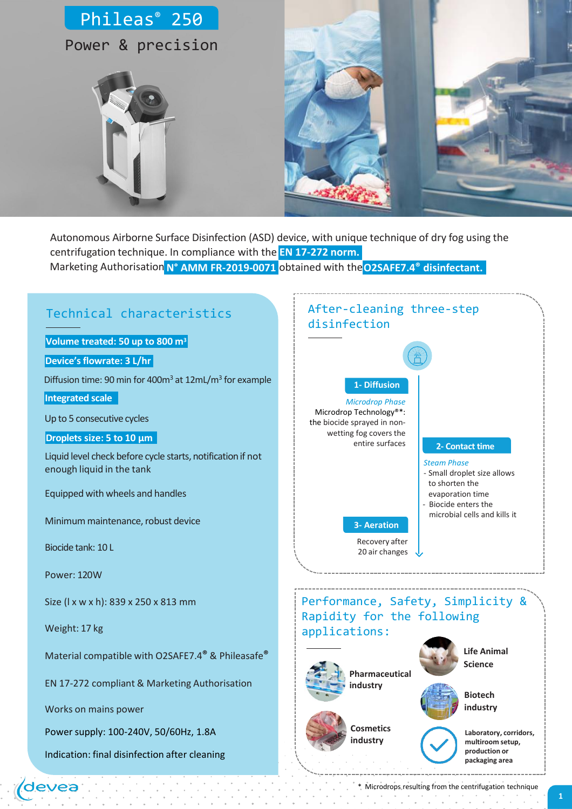

Marketing Authorisation **N° AMM FR-2019-0071** obtained with the**O2SAFE7.4® disinfectant.** Autonomous Airborne Surface Disinfection (ASD) device, with unique technique of dry fog using the centrifugation technique. In compliance with the **EN 17-272 norm.**

## Technical characteristics

**Volume treated: 50 up to 800 m<sup>3</sup>**

**Device'sflowrate: 3 L/hr**

Diffusion time: 90 min for 400m<sup>3</sup> at 12mL/m<sup>3</sup> for example

**Integrated scale**

Up to 5 consecutive cycles

#### **Droplets size: 5 to 10 µm**

Liquid level check before cycle starts, notification if not enough liquid in the tank

Equipped with wheels and handles

Minimum maintenance, robust device

Biocide tank: 10 L

Power: 120W

Size (l x w x h): 839 x 250 x 813 mm

Weight: 17 kg

devea

Material compatible with O2SAFE7.4**®** & Phileasafe**®**

EN 17-272 compliant & Marketing Authorisation

Works on mains power

Power supply: 100-240V, 50/60Hz, 1.8A

Indication: final disinfection after cleaning

#### After-cleaning three-step disinfection

## **1- Diffusion** *Microdrop Phase*

Microdrop Technology®\*: the biocide sprayed in nonwetting fog covers the entire surfaces

#### **2- Contact time**

- *Steam Phase*
- Small droplet size allows to shorten the
- evaporation time
- Biocide enters the
- microbial cells and kills it

**3- Aeration** Recovery after 20 air changes

Performance, Safety, Simplicity & Rapidity for the following applications:







 $\sim$ 

**Laboratory, corridors, multiroom setup, production or packaging area**

\* Microdrops resulting from the centrifugation technique $\sim$  10  $\pm$